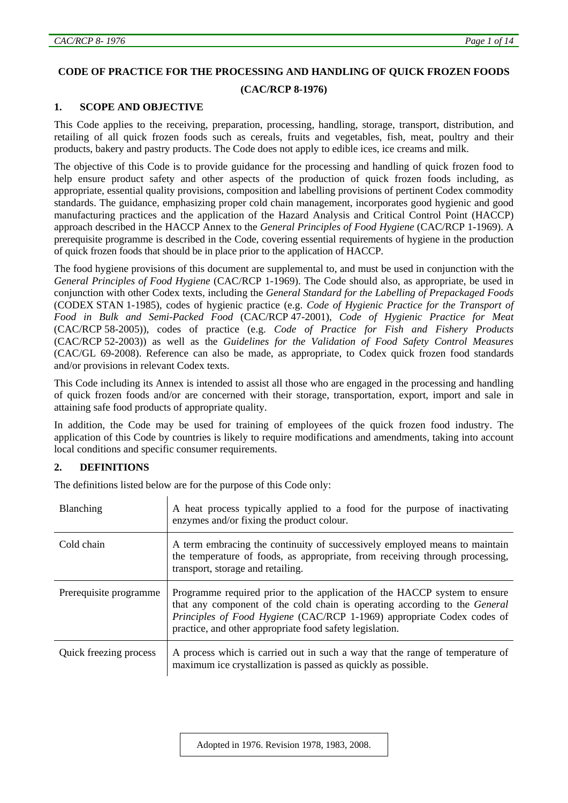# **CODE OF PRACTICE FOR THE PROCESSING AND HANDLING OF QUICK FROZEN FOODS**

# **(CAC/RCP 8-1976)**

# **1. SCOPE AND OBJECTIVE**

This Code applies to the receiving, preparation, processing, handling, storage, transport, distribution, and retailing of all quick frozen foods such as cereals, fruits and vegetables, fish, meat, poultry and their products, bakery and pastry products. The Code does not apply to edible ices, ice creams and milk.

The objective of this Code is to provide guidance for the processing and handling of quick frozen food to help ensure product safety and other aspects of the production of quick frozen foods including, as appropriate, essential quality provisions, composition and labelling provisions of pertinent Codex commodity standards. The guidance, emphasizing proper cold chain management, incorporates good hygienic and good manufacturing practices and the application of the Hazard Analysis and Critical Control Point (HACCP) approach described in the HACCP Annex to the *General Principles of Food Hygiene* (CAC/RCP 1-1969). A prerequisite programme is described in the Code, covering essential requirements of hygiene in the production of quick frozen foods that should be in place prior to the application of HACCP.

The food hygiene provisions of this document are supplemental to, and must be used in conjunction with the *General Principles of Food Hygiene* (CAC/RCP 1-1969). The Code should also, as appropriate, be used in conjunction with other Codex texts, including the *General Standard for the Labelling of Prepackaged Foods*  (CODEX STAN 1-1985), codes of hygienic practice (e.g. *Code of Hygienic Practice for the Transport of Food in Bulk and Semi-Packed Food* (CAC/RCP 47-2001), *Code of Hygienic Practice for Meat*  (CAC/RCP 58-2005)), codes of practice (e.g. *Code of Practice for Fish and Fishery Products* (CAC/RCP 52-2003)) as well as the *Guidelines for the Validation of Food Safety Control Measures* (CAC/GL 69-2008). Reference can also be made, as appropriate, to Codex quick frozen food standards and/or provisions in relevant Codex texts.

This Code including its Annex is intended to assist all those who are engaged in the processing and handling of quick frozen foods and/or are concerned with their storage, transportation, export, import and sale in attaining safe food products of appropriate quality.

In addition, the Code may be used for training of employees of the quick frozen food industry. The application of this Code by countries is likely to require modifications and amendments, taking into account local conditions and specific consumer requirements.

# **2. DEFINITIONS**

The definitions listed below are for the purpose of this Code only:

| Blanching              | A heat process typically applied to a food for the purpose of inactivating<br>enzymes and/or fixing the product colour.                                                                                                                                                                       |
|------------------------|-----------------------------------------------------------------------------------------------------------------------------------------------------------------------------------------------------------------------------------------------------------------------------------------------|
| Cold chain             | A term embracing the continuity of successively employed means to maintain<br>the temperature of foods, as appropriate, from receiving through processing,<br>transport, storage and retailing.                                                                                               |
| Prerequisite programme | Programme required prior to the application of the HACCP system to ensure<br>that any component of the cold chain is operating according to the General<br>Principles of Food Hygiene (CAC/RCP 1-1969) appropriate Codex codes of<br>practice, and other appropriate food safety legislation. |
| Quick freezing process | A process which is carried out in such a way that the range of temperature of<br>maximum ice crystallization is passed as quickly as possible.                                                                                                                                                |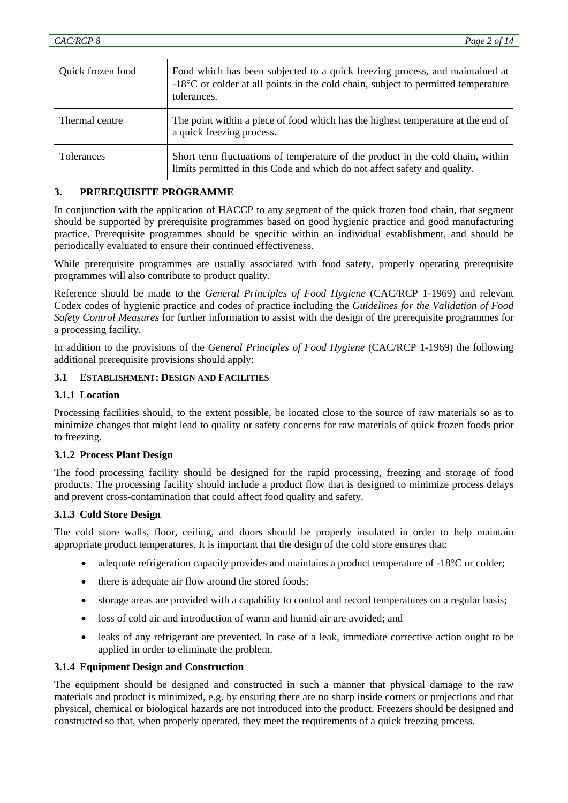| Quick frozen food | Food which has been subjected to a quick freezing process, and maintained at<br>$-18^{\circ}$ C or colder at all points in the cold chain, subject to permitted temperature<br>tolerances. |
|-------------------|--------------------------------------------------------------------------------------------------------------------------------------------------------------------------------------------|
| Thermal centre    | The point within a piece of food which has the highest temperature at the end of<br>a quick freezing process.                                                                              |
| Tolerances        | Short term fluctuations of temperature of the product in the cold chain, within<br>limits permitted in this Code and which do not affect safety and quality.                               |

# **3. PREREQUISITE PROGRAMME**

Ì

In conjunction with the application of HACCP to any segment of the quick frozen food chain, that segment should be supported by prerequisite programmes based on good hygienic practice and good manufacturing practice. Prerequisite programmes should be specific within an individual establishment, and should be periodically evaluated to ensure their continued effectiveness.

While prerequisite programmes are usually associated with food safety, properly operating prerequisite programmes will also contribute to product quality.

Reference should be made to the *General Principles of Food Hygiene* (CAC/RCP 1-1969) and relevant Codex codes of hygienic practice and codes of practice including the *Guidelines for the Validation of Food Safety Control Measures* for further information to assist with the design of the prerequisite programmes for a processing facility.

In addition to the provisions of the *General Principles of Food Hygiene* (CAC/RCP 1-1969) the following additional prerequisite provisions should apply:

### **3.1 ESTABLISHMENT: DESIGN AND FACILITIES**

#### **3.1.1 Location**

Processing facilities should, to the extent possible, be located close to the source of raw materials so as to minimize changes that might lead to quality or safety concerns for raw materials of quick frozen foods prior to freezing.

#### **3.1.2 Process Plant Design**

The food processing facility should be designed for the rapid processing, freezing and storage of food products. The processing facility should include a product flow that is designed to minimize process delays and prevent cross-contamination that could affect food quality and safety.

#### **3.1.3 Cold Store Design**

The cold store walls, floor, ceiling, and doors should be properly insulated in order to help maintain appropriate product temperatures. It is important that the design of the cold store ensures that:

- adequate refrigeration capacity provides and maintains a product temperature of -18<sup>o</sup>C or colder;
- there is adequate air flow around the stored foods;
- storage areas are provided with a capability to control and record temperatures on a regular basis;
- loss of cold air and introduction of warm and humid air are avoided; and
- leaks of any refrigerant are prevented. In case of a leak, immediate corrective action ought to be applied in order to eliminate the problem.

#### **3.1.4 Equipment Design and Construction**

The equipment should be designed and constructed in such a manner that physical damage to the raw materials and product is minimized, e.g. by ensuring there are no sharp inside corners or projections and that physical, chemical or biological hazards are not introduced into the product. Freezers should be designed and constructed so that, when properly operated, they meet the requirements of a quick freezing process.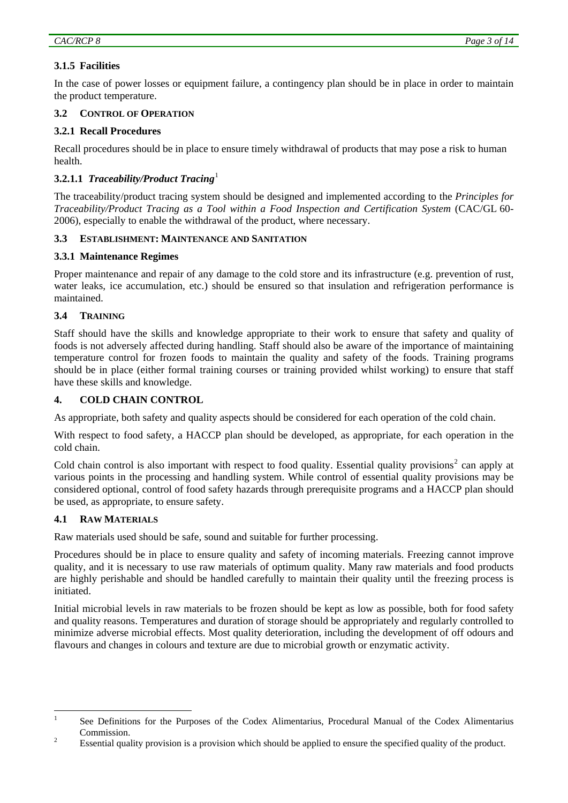# **3.1.5 Facilities**

In the case of power losses or equipment failure, a contingency plan should be in place in order to maintain the product temperature.

# **3.2 CONTROL OF OPERATION**

### **3.2.1 Recall Procedures**

Recall procedures should be in place to ensure timely withdrawal of products that may pose a risk to human health.

# **3.2.1.1** *Traceability/Product Tracing*[1](#page-2-0)

The traceability/product tracing system should be designed and implemented according to the *Principles for Traceability/Product Tracing as a Tool within a Food Inspection and Certification System* (CAC/GL 60- 2006), especially to enable the withdrawal of the product, where necessary.

### **3.3 ESTABLISHMENT: MAINTENANCE AND SANITATION**

### **3.3.1 Maintenance Regimes**

Proper maintenance and repair of any damage to the cold store and its infrastructure (e.g. prevention of rust, water leaks, ice accumulation, etc.) should be ensured so that insulation and refrigeration performance is maintained.

### **3.4 TRAINING**

Staff should have the skills and knowledge appropriate to their work to ensure that safety and quality of foods is not adversely affected during handling. Staff should also be aware of the importance of maintaining temperature control for frozen foods to maintain the quality and safety of the foods. Training programs should be in place (either formal training courses or training provided whilst working) to ensure that staff have these skills and knowledge.

### **4. COLD CHAIN CONTROL**

As appropriate, both safety and quality aspects should be considered for each operation of the cold chain.

With respect to food safety, a HACCP plan should be developed, as appropriate, for each operation in the cold chain.

Cold chain control is also important with respect to food quality. Essential quality provisions<sup>[2](#page-2-1)</sup> can apply at various points in the processing and handling system. While control of essential quality provisions may be considered optional, control of food safety hazards through prerequisite programs and a HACCP plan should be used, as appropriate, to ensure safety.

### **4.1 RAW MATERIALS**

Raw materials used should be safe, sound and suitable for further processing.

Procedures should be in place to ensure quality and safety of incoming materials. Freezing cannot improve quality, and it is necessary to use raw materials of optimum quality. Many raw materials and food products are highly perishable and should be handled carefully to maintain their quality until the freezing process is initiated.

Initial microbial levels in raw materials to be frozen should be kept as low as possible, both for food safety and quality reasons. Temperatures and duration of storage should be appropriately and regularly controlled to minimize adverse microbial effects. Most quality deterioration, including the development of off odours and flavours and changes in colours and texture are due to microbial growth or enzymatic activity.

<span id="page-2-0"></span> $\frac{1}{1}$  See Definitions for the Purposes of the Codex Alimentarius, Procedural Manual of the Codex Alimentarius 2 Commission.

<span id="page-2-1"></span>Essential quality provision is a provision which should be applied to ensure the specified quality of the product.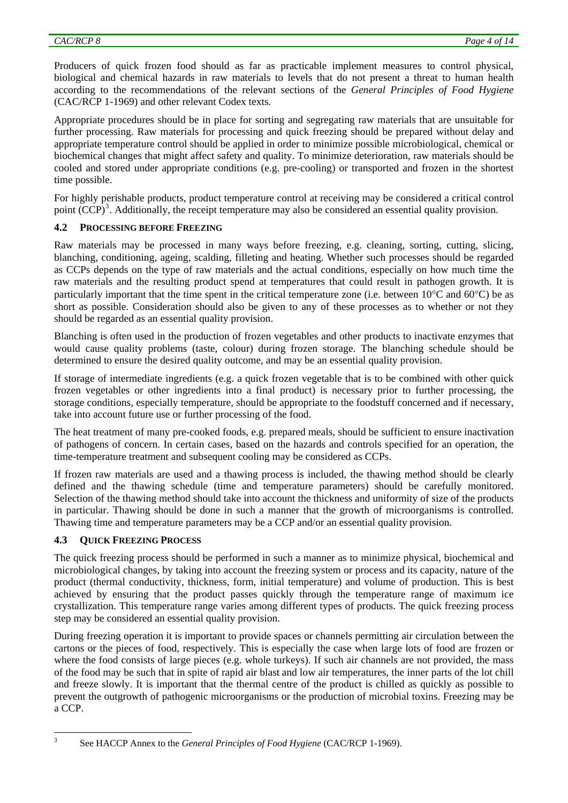Producers of quick frozen food should as far as practicable implement measures to control physical, biological and chemical hazards in raw materials to levels that do not present a threat to human health according to the recommendations of the relevant sections of the *General Principles of Food Hygiene* (CAC/RCP 1-1969) and other relevant Codex texts*.*

Appropriate procedures should be in place for sorting and segregating raw materials that are unsuitable for further processing. Raw materials for processing and quick freezing should be prepared without delay and appropriate temperature control should be applied in order to minimize possible microbiological, chemical or biochemical changes that might affect safety and quality. To minimize deterioration, raw materials should be cooled and stored under appropriate conditions (e.g. pre-cooling) or transported and frozen in the shortest time possible.

For highly perishable products, product temperature control at receiving may be considered a critical control point  $(CCP)^3$  $(CCP)^3$ . Additionally, the receipt temperature may also be considered an essential quality provision.

# **PROCESSING BEFORE FREEZING**

Raw materials may be processed in many ways before freezing, e.g. cleaning, sorting, cutting, slicing, blanching, conditioning, ageing, scalding, filleting and heating. Whether such processes should be regarded as CCPs depends on the type of raw materials and the actual conditions, especially on how much time the raw materials and the resulting product spend at temperatures that could result in pathogen growth. It is particularly important that the time spent in the critical temperature zone (i.e. between  $10^{\circ}$ C and  $60^{\circ}$ C) be as short as possible. Consideration should also be given to any of these processes as to whether or not they should be regarded as an essential quality provision.

Blanching is often used in the production of frozen vegetables and other products to inactivate enzymes that would cause quality problems (taste, colour) during frozen storage. The blanching schedule should be determined to ensure the desired quality outcome, and may be an essential quality provision.

If storage of intermediate ingredients (e.g. a quick frozen vegetable that is to be combined with other quick frozen vegetables or other ingredients into a final product) is necessary prior to further processing, the storage conditions, especially temperature, should be appropriate to the foodstuff concerned and if necessary, take into account future use or further processing of the food.

The heat treatment of many pre-cooked foods, e.g. prepared meals, should be sufficient to ensure inactivation of pathogens of concern. In certain cases, based on the hazards and controls specified for an operation, the time-temperature treatment and subsequent cooling may be considered as CCPs.

If frozen raw materials are used and a thawing process is included, the thawing method should be clearly defined and the thawing schedule (time and temperature parameters) should be carefully monitored. Selection of the thawing method should take into account the thickness and uniformity of size of the products in particular. Thawing should be done in such a manner that the growth of microorganisms is controlled. Thawing time and temperature parameters may be a CCP and/or an essential quality provision.

# **4.3 QUICK FREEZING PROCESS**

The quick freezing process should be performed in such a manner as to minimize physical, biochemical and microbiological changes, by taking into account the freezing system or process and its capacity, nature of the product (thermal conductivity, thickness, form, initial temperature) and volume of production. This is best achieved by ensuring that the product passes quickly through the temperature range of maximum ice crystallization. This temperature range varies among different types of products. The quick freezing process step may be considered an essential quality provision.

During freezing operation it is important to provide spaces or channels permitting air circulation between the cartons or the pieces of food, respectively. This is especially the case when large lots of food are frozen or where the food consists of large pieces (e.g. whole turkeys). If such air channels are not provided, the mass of the food may be such that in spite of rapid air blast and low air temperatures, the inner parts of the lot chill and freeze slowly. It is important that the thermal centre of the product is chilled as quickly as possible to prevent the outgrowth of pathogenic microorganisms or the production of microbial toxins. Freezing may be a CCP.

<span id="page-3-0"></span><sup>&</sup>lt;sup>2</sup><br>3

See HACCP Annex to the *General Principles of Food Hygiene* (CAC/RCP 1-1969).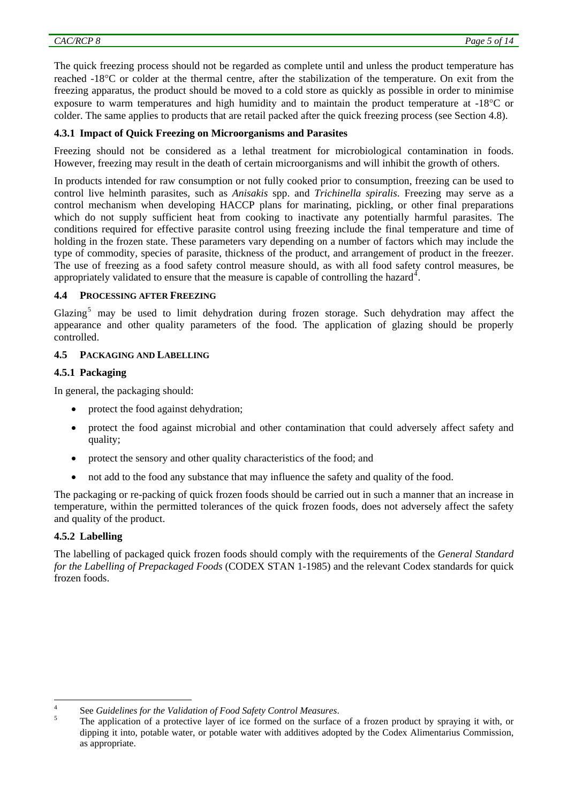The quick freezing process should not be regarded as complete until and unless the product temperature has reached -18°C or colder at the thermal centre, after the stabilization of the temperature. On exit from the freezing apparatus, the product should be moved to a cold store as quickly as possible in order to minimise exposure to warm temperatures and high humidity and to maintain the product temperature at -18°C or colder. The same applies to products that are retail packed after the quick freezing process (see Section 4.8).

# **4.3.1 Impact of Quick Freezing on Microorganisms and Parasites**

Freezing should not be considered as a lethal treatment for microbiological contamination in foods. However, freezing may result in the death of certain microorganisms and will inhibit the growth of others.

In products intended for raw consumption or not fully cooked prior to consumption, freezing can be used to control live helminth parasites, such as *Anisakis* spp. and *Trichinella spiralis*. Freezing may serve as a control mechanism when developing HACCP plans for marinating, pickling, or other final preparations which do not supply sufficient heat from cooking to inactivate any potentially harmful parasites. The conditions required for effective parasite control using freezing include the final temperature and time of holding in the frozen state. These parameters vary depending on a number of factors which may include the type of commodity, species of parasite, thickness of the product, and arrangement of product in the freezer. The use of freezing as a food safety control measure should, as with all food safety control measures, be appropriately validated to ensure that the measure is capable of controlling the hazard<sup>[4](#page-4-0)</sup>.

### **4.4 PROCESSING AFTER FREEZING**

Glazing<sup>[5](#page-4-1)</sup> may be used to limit dehydration during frozen storage. Such dehydration may affect the appearance and other quality parameters of the food. The application of glazing should be properly controlled.

# **4.5 PACKAGING AND LABELLING**

# **4.5.1 Packaging**

In general, the packaging should:

- protect the food against dehydration;
- protect the food against microbial and other contamination that could adversely affect safety and quality;
- protect the sensory and other quality characteristics of the food; and
- not add to the food any substance that may influence the safety and quality of the food.

The packaging or re-packing of quick frozen foods should be carried out in such a manner that an increase in temperature, within the permitted tolerances of the quick frozen foods, does not adversely affect the safety and quality of the product.

# **4.5.2 Labelling**

The labelling of packaged quick frozen foods should comply with the requirements of the *General Standard for the Labelling of Prepackaged Foods* (CODEX STAN 1-1985) and the relevant Codex standards for quick frozen foods.

<span id="page-4-0"></span> $\frac{1}{4}$ <sup>4</sup> See *Guidelines for the Validation of Food Safety Control Measures.* 

<span id="page-4-1"></span>The application of a protective layer of ice formed on the surface of a frozen product by spraying it with, or dipping it into, potable water, or potable water with additives adopted by the Codex Alimentarius Commission, as appropriate.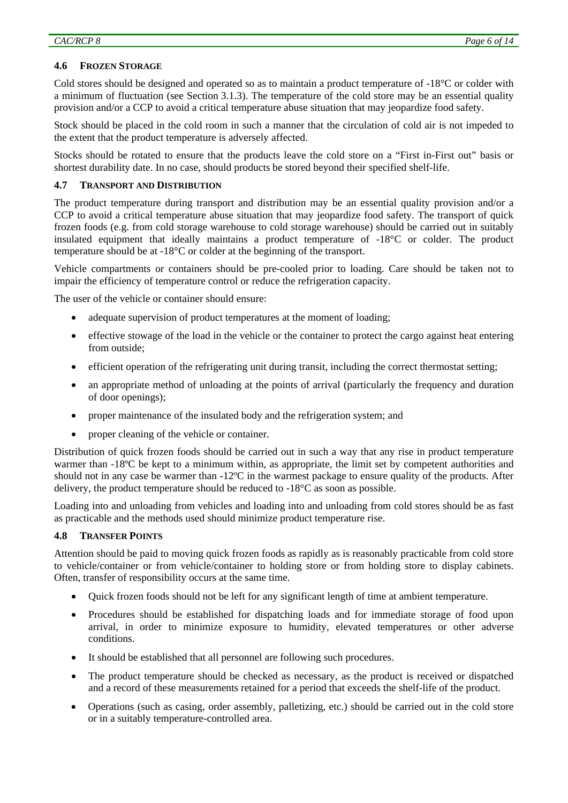# **4.6 FROZEN STORAGE**

Cold stores should be designed and operated so as to maintain a product temperature of -18°C or colder with a minimum of fluctuation (see Section 3.1.3). The temperature of the cold store may be an essential quality provision and/or a CCP to avoid a critical temperature abuse situation that may jeopardize food safety.

Stock should be placed in the cold room in such a manner that the circulation of cold air is not impeded to the extent that the product temperature is adversely affected.

Stocks should be rotated to ensure that the products leave the cold store on a "First in-First out" basis or shortest durability date. In no case, should products be stored beyond their specified shelf-life.

### **4.7 TRANSPORT AND DISTRIBUTION**

The product temperature during transport and distribution may be an essential quality provision and/or a CCP to avoid a critical temperature abuse situation that may jeopardize food safety. The transport of quick frozen foods (e.g. from cold storage warehouse to cold storage warehouse) should be carried out in suitably insulated equipment that ideally maintains a product temperature of -18°C or colder. The product temperature should be at -18°C or colder at the beginning of the transport.

Vehicle compartments or containers should be pre-cooled prior to loading. Care should be taken not to impair the efficiency of temperature control or reduce the refrigeration capacity.

The user of the vehicle or container should ensure:

- adequate supervision of product temperatures at the moment of loading;
- effective stowage of the load in the vehicle or the container to protect the cargo against heat entering from outside;
- efficient operation of the refrigerating unit during transit, including the correct thermostat setting;
- an appropriate method of unloading at the points of arrival (particularly the frequency and duration of door openings);
- proper maintenance of the insulated body and the refrigeration system; and
- proper cleaning of the vehicle or container.

Distribution of quick frozen foods should be carried out in such a way that any rise in product temperature warmer than -18<sup>o</sup>C be kept to a minimum within, as appropriate, the limit set by competent authorities and should not in any case be warmer than -12ºC in the warmest package to ensure quality of the products. After delivery, the product temperature should be reduced to -18°C as soon as possible.

Loading into and unloading from vehicles and loading into and unloading from cold stores should be as fast as practicable and the methods used should minimize product temperature rise.

### **4.8 TRANSFER POINTS**

Attention should be paid to moving quick frozen foods as rapidly as is reasonably practicable from cold store to vehicle/container or from vehicle/container to holding store or from holding store to display cabinets. Often, transfer of responsibility occurs at the same time.

- Quick frozen foods should not be left for any significant length of time at ambient temperature.
- Procedures should be established for dispatching loads and for immediate storage of food upon arrival, in order to minimize exposure to humidity, elevated temperatures or other adverse conditions.
- It should be established that all personnel are following such procedures.
- The product temperature should be checked as necessary, as the product is received or dispatched and a record of these measurements retained for a period that exceeds the shelf-life of the product.
- Operations (such as casing, order assembly, palletizing, etc.) should be carried out in the cold store or in a suitably temperature-controlled area.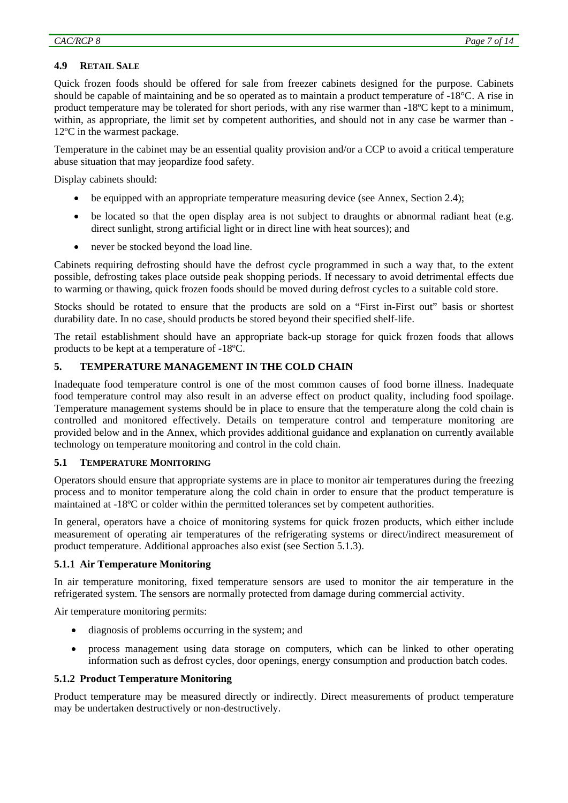# **4.9 RETAIL SALE**

Quick frozen foods should be offered for sale from freezer cabinets designed for the purpose. Cabinets should be capable of maintaining and be so operated as to maintain a product temperature of -18°C. A rise in product temperature may be tolerated for short periods, with any rise warmer than -18ºC kept to a minimum, within, as appropriate, the limit set by competent authorities, and should not in any case be warmer than -12ºC in the warmest package.

Temperature in the cabinet may be an essential quality provision and/or a CCP to avoid a critical temperature abuse situation that may jeopardize food safety.

Display cabinets should:

- be equipped with an appropriate temperature measuring device (see Annex, Section 2.4);
- be located so that the open display area is not subject to draughts or abnormal radiant heat (e.g. direct sunlight, strong artificial light or in direct line with heat sources); and
- never be stocked beyond the load line.

Cabinets requiring defrosting should have the defrost cycle programmed in such a way that, to the extent possible, defrosting takes place outside peak shopping periods. If necessary to avoid detrimental effects due to warming or thawing, quick frozen foods should be moved during defrost cycles to a suitable cold store.

Stocks should be rotated to ensure that the products are sold on a "First in-First out" basis or shortest durability date. In no case, should products be stored beyond their specified shelf-life.

The retail establishment should have an appropriate back-up storage for quick frozen foods that allows products to be kept at a temperature of -18ºC.

# **5. TEMPERATURE MANAGEMENT IN THE COLD CHAIN**

Inadequate food temperature control is one of the most common causes of food borne illness. Inadequate food temperature control may also result in an adverse effect on product quality, including food spoilage. Temperature management systems should be in place to ensure that the temperature along the cold chain is controlled and monitored effectively. Details on temperature control and temperature monitoring are provided below and in the Annex, which provides additional guidance and explanation on currently available technology on temperature monitoring and control in the cold chain.

### **5.1 TEMPERATURE MONITORING**

Operators should ensure that appropriate systems are in place to monitor air temperatures during the freezing process and to monitor temperature along the cold chain in order to ensure that the product temperature is maintained at -18ºC or colder within the permitted tolerances set by competent authorities.

In general, operators have a choice of monitoring systems for quick frozen products, which either include measurement of operating air temperatures of the refrigerating systems or direct/indirect measurement of product temperature. Additional approaches also exist (see Section 5.1.3).

### **5.1.1 Air Temperature Monitoring**

In air temperature monitoring, fixed temperature sensors are used to monitor the air temperature in the refrigerated system. The sensors are normally protected from damage during commercial activity.

Air temperature monitoring permits:

- diagnosis of problems occurring in the system; and
- process management using data storage on computers, which can be linked to other operating information such as defrost cycles, door openings, energy consumption and production batch codes.

### **5.1.2 Product Temperature Monitoring**

Product temperature may be measured directly or indirectly. Direct measurements of product temperature may be undertaken destructively or non-destructively.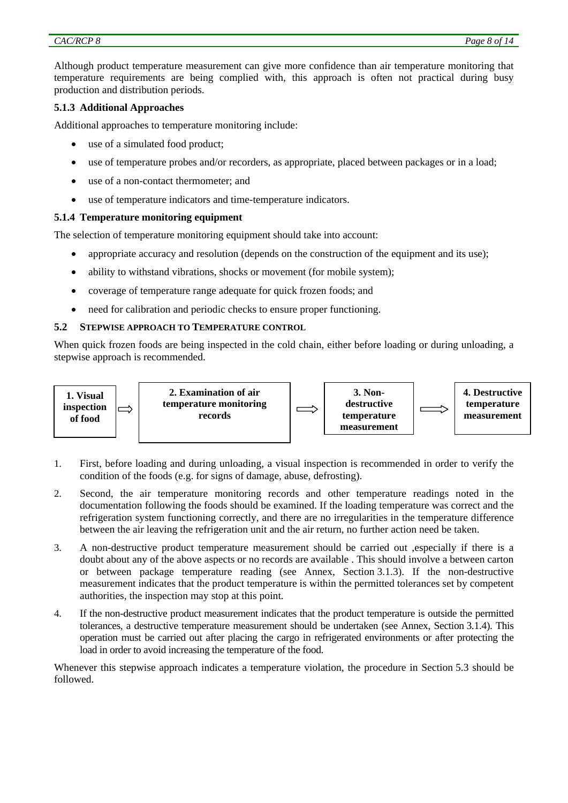Although product temperature measurement can give more confidence than air temperature monitoring that temperature requirements are being complied with, this approach is often not practical during busy production and distribution periods.

# **5.1.3 Additional Approaches**

Additional approaches to temperature monitoring include:

- use of a simulated food product;
- use of temperature probes and/or recorders, as appropriate, placed between packages or in a load;
- use of a non-contact thermometer; and
- use of temperature indicators and time-temperature indicators.

### **5.1.4 Temperature monitoring equipment**

The selection of temperature monitoring equipment should take into account:

- appropriate accuracy and resolution (depends on the construction of the equipment and its use);
- ability to withstand vibrations, shocks or movement (for mobile system);
- coverage of temperature range adequate for quick frozen foods; and
- need for calibration and periodic checks to ensure proper functioning.

### **5.2 STEPWISE APPROACH TO TEMPERATURE CONTROL**

When quick frozen foods are being inspected in the cold chain, either before loading or during unloading, a stepwise approach is recommended.



- 1. First, before loading and during unloading, a visual inspection is recommended in order to verify the condition of the foods (e.g. for signs of damage, abuse, defrosting).
- 2. Second, the air temperature monitoring records and other temperature readings noted in the documentation following the foods should be examined. If the loading temperature was correct and the refrigeration system functioning correctly, and there are no irregularities in the temperature difference between the air leaving the refrigeration unit and the air return, no further action need be taken.
- 3. A non-destructive product temperature measurement should be carried out ,especially if there is a doubt about any of the above aspects or no records are available . This should involve a between carton or between package temperature reading (see Annex, Section 3.1.3). If the non-destructive measurement indicates that the product temperature is within the permitted tolerances set by competent authorities, the inspection may stop at this point.
- 4. If the non-destructive product measurement indicates that the product temperature is outside the permitted tolerances, a destructive temperature measurement should be undertaken (see Annex, Section 3.1.4). This operation must be carried out after placing the cargo in refrigerated environments or after protecting the load in order to avoid increasing the temperature of the food.

Whenever this stepwise approach indicates a temperature violation, the procedure in Section 5.3 should be followed.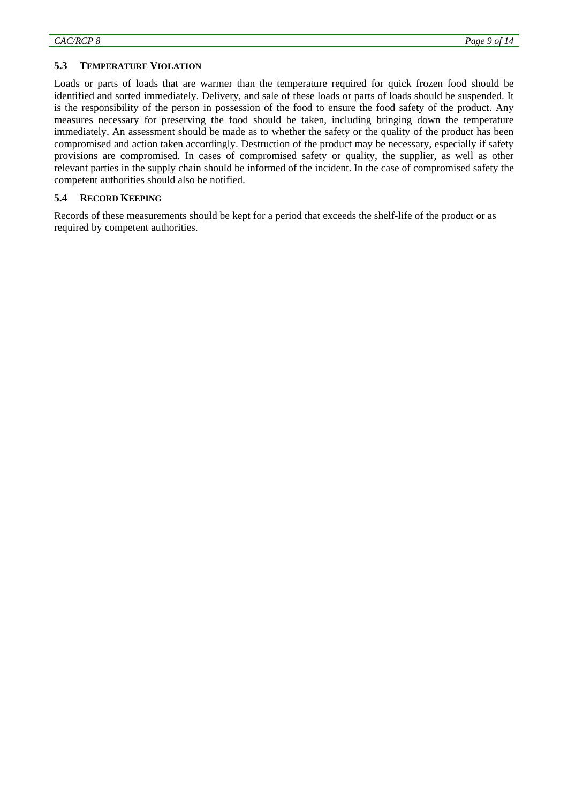#### **5.3 TEMPERATURE VIOLATION**

Loads or parts of loads that are warmer than the temperature required for quick frozen food should be identified and sorted immediately. Delivery, and sale of these loads or parts of loads should be suspended. It is the responsibility of the person in possession of the food to ensure the food safety of the product. Any measures necessary for preserving the food should be taken, including bringing down the temperature immediately. An assessment should be made as to whether the safety or the quality of the product has been compromised and action taken accordingly. Destruction of the product may be necessary, especially if safety provisions are compromised. In cases of compromised safety or quality, the supplier, as well as other relevant parties in the supply chain should be informed of the incident. In the case of compromised safety the competent authorities should also be notified.

### **5.4 RECORD KEEPING**

Records of these measurements should be kept for a period that exceeds the shelf-life of the product or as required by competent authorities.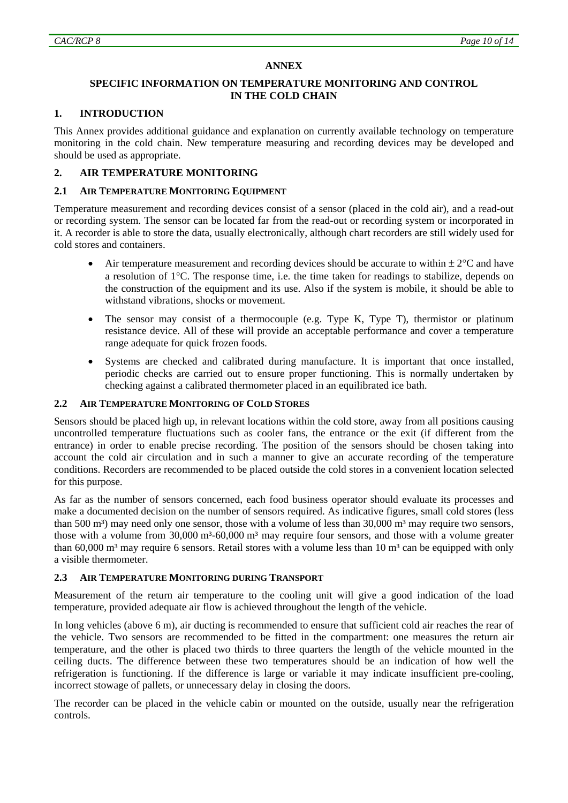# **ANNEX**

# **SPECIFIC INFORMATION ON TEMPERATURE MONITORING AND CONTROL IN THE COLD CHAIN**

# **1. INTRODUCTION**

This Annex provides additional guidance and explanation on currently available technology on temperature monitoring in the cold chain. New temperature measuring and recording devices may be developed and should be used as appropriate.

# **2. AIR TEMPERATURE MONITORING**

# **2.1 AIR TEMPERATURE MONITORING EQUIPMENT**

Temperature measurement and recording devices consist of a sensor (placed in the cold air), and a read-out or recording system. The sensor can be located far from the read-out or recording system or incorporated in it. A recorder is able to store the data, usually electronically, although chart recorders are still widely used for cold stores and containers.

- Air temperature measurement and recording devices should be accurate to within  $\pm 2^{\circ}C$  and have a resolution of 1°C. The response time, i.e. the time taken for readings to stabilize, depends on the construction of the equipment and its use. Also if the system is mobile, it should be able to withstand vibrations, shocks or movement.
- The sensor may consist of a thermocouple (e.g. Type K, Type T), thermistor or platinum resistance device. All of these will provide an acceptable performance and cover a temperature range adequate for quick frozen foods.
- Systems are checked and calibrated during manufacture. It is important that once installed, periodic checks are carried out to ensure proper functioning. This is normally undertaken by checking against a calibrated thermometer placed in an equilibrated ice bath.

### **2.2 AIR TEMPERATURE MONITORING OF COLD STORES**

Sensors should be placed high up, in relevant locations within the cold store, away from all positions causing uncontrolled temperature fluctuations such as cooler fans, the entrance or the exit (if different from the entrance) in order to enable precise recording. The position of the sensors should be chosen taking into account the cold air circulation and in such a manner to give an accurate recording of the temperature conditions. Recorders are recommended to be placed outside the cold stores in a convenient location selected for this purpose.

As far as the number of sensors concerned, each food business operator should evaluate its processes and make a documented decision on the number of sensors required. As indicative figures, small cold stores (less than 500 m<sup>3</sup>) may need only one sensor, those with a volume of less than  $30,000$  m<sup>3</sup> may require two sensors, those with a volume from  $30,000 \text{ m}^3$ -60,000 m<sup>3</sup> may require four sensors, and those with a volume greater than 60,000 m<sup>3</sup> may require 6 sensors. Retail stores with a volume less than 10 m<sup>3</sup> can be equipped with only a visible thermometer.

### **2.3 AIR TEMPERATURE MONITORING DURING TRANSPORT**

Measurement of the return air temperature to the cooling unit will give a good indication of the load temperature, provided adequate air flow is achieved throughout the length of the vehicle.

In long vehicles (above 6 m), air ducting is recommended to ensure that sufficient cold air reaches the rear of the vehicle. Two sensors are recommended to be fitted in the compartment: one measures the return air temperature, and the other is placed two thirds to three quarters the length of the vehicle mounted in the ceiling ducts. The difference between these two temperatures should be an indication of how well the refrigeration is functioning. If the difference is large or variable it may indicate insufficient pre-cooling, incorrect stowage of pallets, or unnecessary delay in closing the doors.

The recorder can be placed in the vehicle cabin or mounted on the outside, usually near the refrigeration controls.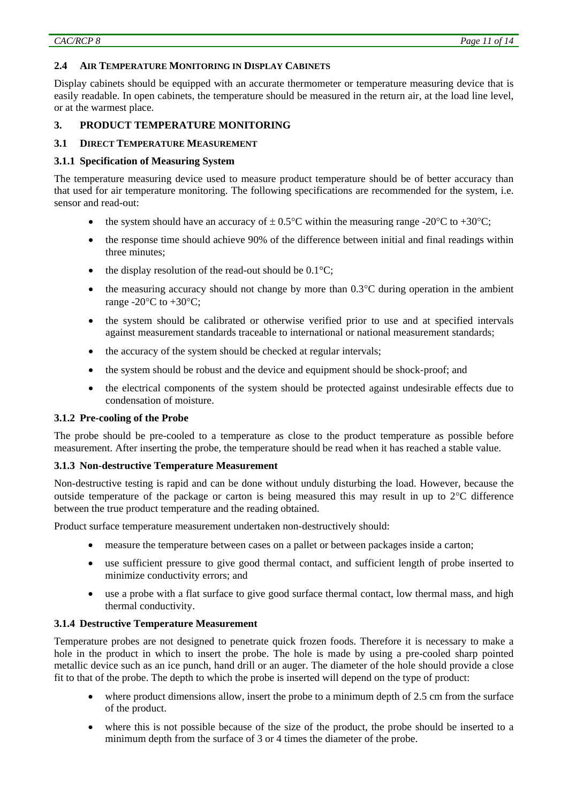### **2.4 AIR TEMPERATURE MONITORING IN DISPLAY CABINETS**

Display cabinets should be equipped with an accurate thermometer or temperature measuring device that is easily readable. In open cabinets, the temperature should be measured in the return air, at the load line level, or at the warmest place.

# **3. PRODUCT TEMPERATURE MONITORING**

#### **3.1 DIRECT TEMPERATURE MEASUREMENT**

#### **3.1.1 Specification of Measuring System**

The temperature measuring device used to measure product temperature should be of better accuracy than that used for air temperature monitoring. The following specifications are recommended for the system, i.e. sensor and read-out:

- the system should have an accuracy of  $\pm 0.5^{\circ}$ C within the measuring range -20 $^{\circ}$ C to +30 $^{\circ}$ C;
- the response time should achieve 90% of the difference between initial and final readings within three minutes;
- the display resolution of the read-out should be  $0.1^{\circ}$ C:
- the measuring accuracy should not change by more than  $0.3^{\circ}$ C during operation in the ambient range -20 $\mathrm{^{\circ}C}$  to +30 $\mathrm{^{\circ}C}$ :
- the system should be calibrated or otherwise verified prior to use and at specified intervals against measurement standards traceable to international or national measurement standards;
- the accuracy of the system should be checked at regular intervals;
- the system should be robust and the device and equipment should be shock-proof; and
- the electrical components of the system should be protected against undesirable effects due to condensation of moisture.

### **3.1.2 Pre-cooling of the Probe**

The probe should be pre-cooled to a temperature as close to the product temperature as possible before measurement. After inserting the probe, the temperature should be read when it has reached a stable value.

### **3.1.3 Non-destructive Temperature Measurement**

Non-destructive testing is rapid and can be done without unduly disturbing the load. However, because the outside temperature of the package or carton is being measured this may result in up to 2°C difference between the true product temperature and the reading obtained.

Product surface temperature measurement undertaken non-destructively should:

- measure the temperature between cases on a pallet or between packages inside a carton;
- use sufficient pressure to give good thermal contact, and sufficient length of probe inserted to minimize conductivity errors; and
- use a probe with a flat surface to give good surface thermal contact, low thermal mass, and high thermal conductivity.

### **3.1.4 Destructive Temperature Measurement**

Temperature probes are not designed to penetrate quick frozen foods. Therefore it is necessary to make a hole in the product in which to insert the probe. The hole is made by using a pre-cooled sharp pointed metallic device such as an ice punch, hand drill or an auger. The diameter of the hole should provide a close fit to that of the probe. The depth to which the probe is inserted will depend on the type of product:

- where product dimensions allow, insert the probe to a minimum depth of 2.5 cm from the surface of the product.
- where this is not possible because of the size of the product, the probe should be inserted to a minimum depth from the surface of 3 or 4 times the diameter of the probe.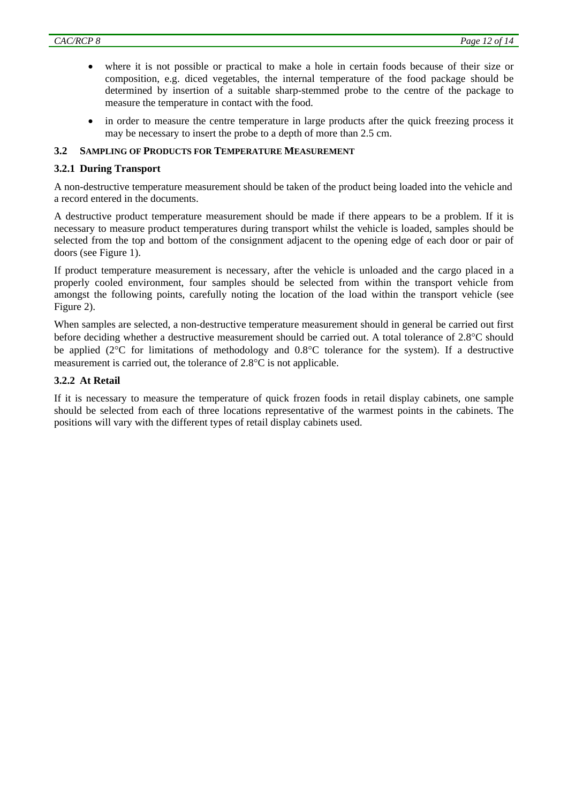- where it is not possible or practical to make a hole in certain foods because of their size or composition, e.g. diced vegetables, the internal temperature of the food package should be determined by insertion of a suitable sharp-stemmed probe to the centre of the package to measure the temperature in contact with the food.
- in order to measure the centre temperature in large products after the quick freezing process it may be necessary to insert the probe to a depth of more than 2.5 cm.

# **3.2 SAMPLING OF PRODUCTS FOR TEMPERATURE MEASUREMENT**

# **3.2.1 During Transport**

A non-destructive temperature measurement should be taken of the product being loaded into the vehicle and a record entered in the documents.

A destructive product temperature measurement should be made if there appears to be a problem. If it is necessary to measure product temperatures during transport whilst the vehicle is loaded, samples should be selected from the top and bottom of the consignment adjacent to the opening edge of each door or pair of doors (see Figure 1).

If product temperature measurement is necessary, after the vehicle is unloaded and the cargo placed in a properly cooled environment, four samples should be selected from within the transport vehicle from amongst the following points, carefully noting the location of the load within the transport vehicle (see Figure 2).

When samples are selected, a non-destructive temperature measurement should in general be carried out first before deciding whether a destructive measurement should be carried out. A total tolerance of 2.8°C should be applied (2°C for limitations of methodology and 0.8°C tolerance for the system). If a destructive measurement is carried out, the tolerance of 2.8°C is not applicable.

# **3.2.2 At Retail**

If it is necessary to measure the temperature of quick frozen foods in retail display cabinets, one sample should be selected from each of three locations representative of the warmest points in the cabinets. The positions will vary with the different types of retail display cabinets used.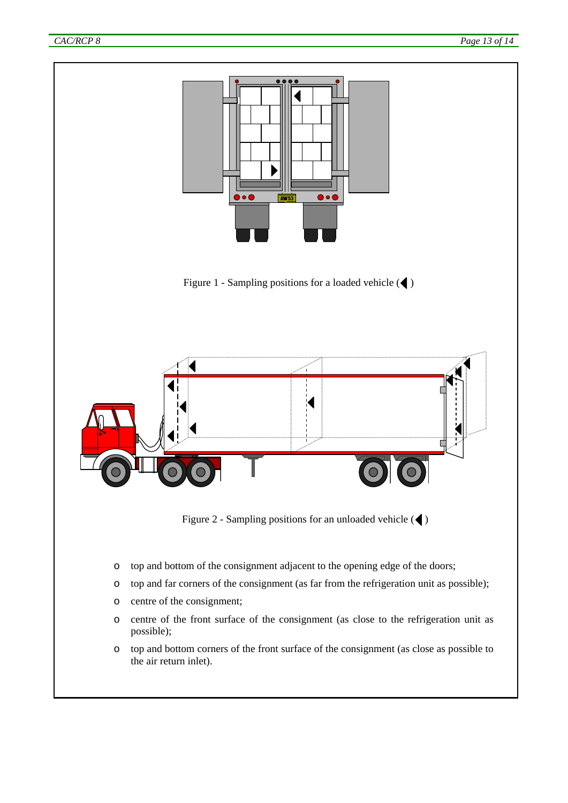